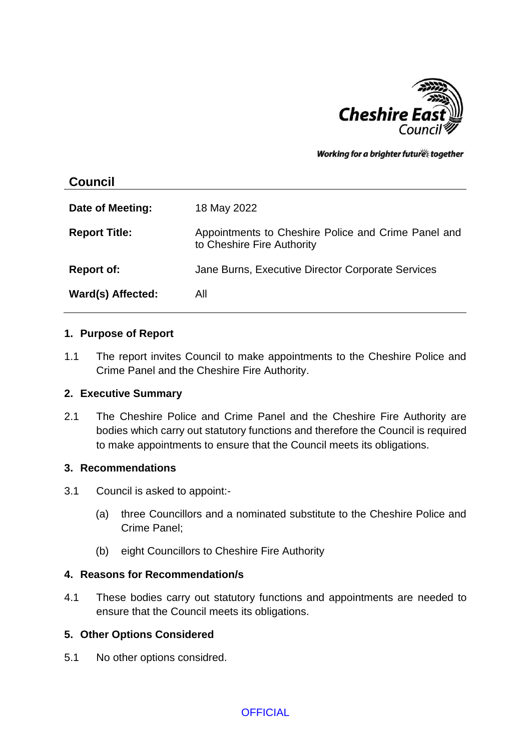

Working for a brighter futures together

# **Council Date of Meeting:** 18 May 2022 **Report Title:** Appointments to Cheshire Police and Crime Panel and to Cheshire Fire Authority **Report of:** Jane Burns, Executive Director Corporate Services **Ward(s) Affected:** All

#### **1. Purpose of Report**

1.1 The report invites Council to make appointments to the Cheshire Police and Crime Panel and the Cheshire Fire Authority.

#### **2. Executive Summary**

2.1 The Cheshire Police and Crime Panel and the Cheshire Fire Authority are bodies which carry out statutory functions and therefore the Council is required to make appointments to ensure that the Council meets its obligations.

#### **3. Recommendations**

- 3.1 Council is asked to appoint:-
	- (a) three Councillors and a nominated substitute to the Cheshire Police and Crime Panel;
	- (b) eight Councillors to Cheshire Fire Authority

#### **4. Reasons for Recommendation/s**

4.1 These bodies carry out statutory functions and appointments are needed to ensure that the Council meets its obligations.

### **5. Other Options Considered**

5.1 No other options considred.

### **OFFICIAL**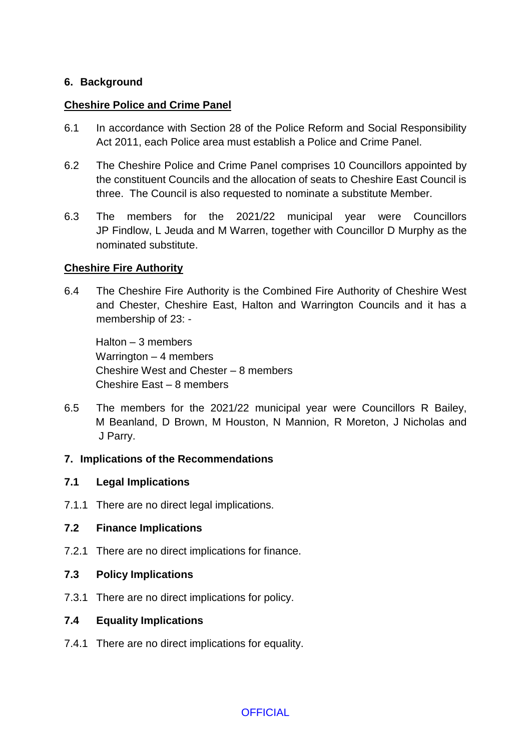# **6. Background**

## **Cheshire Police and Crime Panel**

- 6.1 In accordance with Section 28 of the Police Reform and Social Responsibility Act 2011, each Police area must establish a Police and Crime Panel.
- 6.2 The Cheshire Police and Crime Panel comprises 10 Councillors appointed by the constituent Councils and the allocation of seats to Cheshire East Council is three. The Council is also requested to nominate a substitute Member.
- 6.3 The members for the 2021/22 municipal year were Councillors JP Findlow, L Jeuda and M Warren, together with Councillor D Murphy as the nominated substitute.

# **Cheshire Fire Authority**

6.4 The Cheshire Fire Authority is the Combined Fire Authority of Cheshire West and Chester, Cheshire East, Halton and Warrington Councils and it has a membership of 23: -

Halton – 3 members Warrington – 4 members Cheshire West and Chester – 8 members Cheshire East – 8 members

6.5 The members for the 2021/22 municipal year were Councillors R Bailey, M Beanland, D Brown, M Houston, N Mannion, R Moreton, J Nicholas and J Parry.

### **7. Implications of the Recommendations**

### **7.1 Legal Implications**

7.1.1 There are no direct legal implications.

### **7.2 Finance Implications**

- 7.2.1 There are no direct implications for finance.
- **7.3 Policy Implications**
- 7.3.1 There are no direct implications for policy.

### **7.4 Equality Implications**

7.4.1 There are no direct implications for equality.